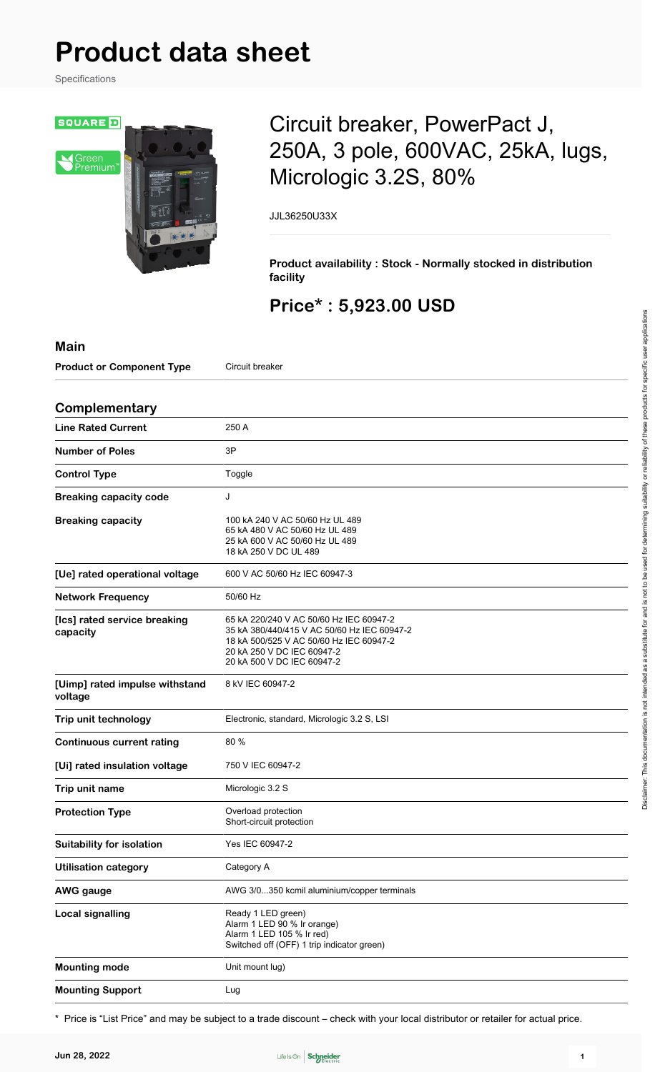# **Product data sheet**

Specifications



## Circuit breaker, PowerPact J, 250A, 3 pole, 600VAC, 25kA, lugs, Micrologic 3.2S, 80%

JJL36250U33X

**Product availability : Stock - Normally stocked in distribution facility**

## **Price\* : 5,923.00 USD**

| <b>Main</b>                               |                                                                                                                                                                                               |  |  |  |
|-------------------------------------------|-----------------------------------------------------------------------------------------------------------------------------------------------------------------------------------------------|--|--|--|
| <b>Product or Component Type</b>          | Circuit breaker                                                                                                                                                                               |  |  |  |
| Complementary                             |                                                                                                                                                                                               |  |  |  |
| <b>Line Rated Current</b>                 | 250 A                                                                                                                                                                                         |  |  |  |
| <b>Number of Poles</b>                    | 3P                                                                                                                                                                                            |  |  |  |
| <b>Control Type</b>                       | Toggle                                                                                                                                                                                        |  |  |  |
| <b>Breaking capacity code</b>             | J                                                                                                                                                                                             |  |  |  |
| <b>Breaking capacity</b>                  | 100 kA 240 V AC 50/60 Hz UL 489<br>65 kA 480 V AC 50/60 Hz UL 489<br>25 kA 600 V AC 50/60 Hz UL 489<br>18 kA 250 V DC UL 489                                                                  |  |  |  |
| [Ue] rated operational voltage            | 600 V AC 50/60 Hz IEC 60947-3                                                                                                                                                                 |  |  |  |
| <b>Network Frequency</b>                  | 50/60 Hz                                                                                                                                                                                      |  |  |  |
| [Ics] rated service breaking<br>capacity  | 65 kA 220/240 V AC 50/60 Hz IEC 60947-2<br>35 kA 380/440/415 V AC 50/60 Hz IEC 60947-2<br>18 kA 500/525 V AC 50/60 Hz IEC 60947-2<br>20 kA 250 V DC IEC 60947-2<br>20 kA 500 V DC IEC 60947-2 |  |  |  |
| [Uimp] rated impulse withstand<br>voltage | 8 kV IEC 60947-2                                                                                                                                                                              |  |  |  |
| Trip unit technology                      | Electronic, standard, Micrologic 3.2 S, LSI                                                                                                                                                   |  |  |  |
| <b>Continuous current rating</b>          | 80%                                                                                                                                                                                           |  |  |  |
| [Ui] rated insulation voltage             | 750 V IEC 60947-2                                                                                                                                                                             |  |  |  |
| Trip unit name                            | Micrologic 3.2 S                                                                                                                                                                              |  |  |  |
| <b>Protection Type</b>                    | Overload protection<br>Short-circuit protection                                                                                                                                               |  |  |  |
| <b>Suitability for isolation</b>          | Yes IEC 60947-2                                                                                                                                                                               |  |  |  |
| <b>Utilisation category</b>               | Category A                                                                                                                                                                                    |  |  |  |
| <b>AWG</b> gauge                          | AWG 3/0350 kcmil aluminium/copper terminals                                                                                                                                                   |  |  |  |
| <b>Local signalling</b>                   | Ready 1 LED green)<br>Alarm 1 LED 90 % Ir orange)<br>Alarm 1 LED 105 % Ir red)<br>Switched off (OFF) 1 trip indicator green)                                                                  |  |  |  |
| <b>Mounting mode</b>                      | Unit mount lug)                                                                                                                                                                               |  |  |  |
| <b>Mounting Support</b>                   | Lug                                                                                                                                                                                           |  |  |  |

\* Price is "List Price" and may be subject to a trade discount – check with your local distributor or retailer for actual price.

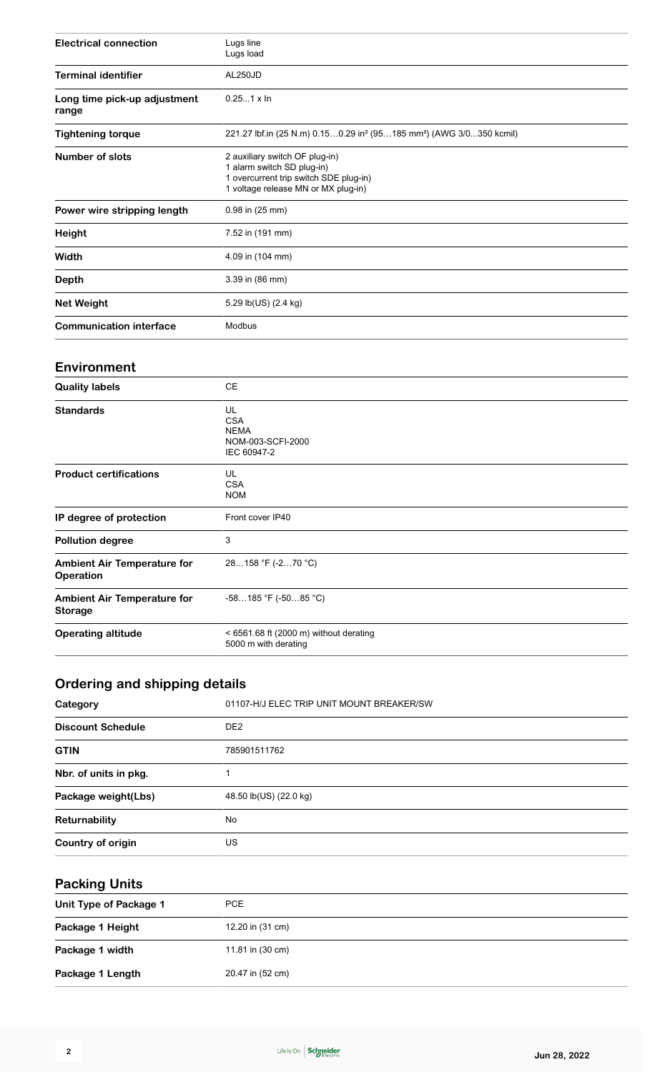| <b>Electrical connection</b>          | Lugs line<br>Lugs load                                                                                                                        |  |  |  |
|---------------------------------------|-----------------------------------------------------------------------------------------------------------------------------------------------|--|--|--|
| <b>Terminal identifier</b>            | AL250JD                                                                                                                                       |  |  |  |
| Long time pick-up adjustment<br>range | $0.251 \times \ln$                                                                                                                            |  |  |  |
| <b>Tightening torque</b>              | 221.27 lbf.in (25 N.m) 0.150.29 in <sup>2</sup> (95185 mm <sup>2</sup> ) (AWG 3/0350 kcmil)                                                   |  |  |  |
| <b>Number of slots</b>                | 2 auxiliary switch OF plug-in)<br>1 alarm switch SD plug-in)<br>1 overcurrent trip switch SDE plug-in)<br>1 voltage release MN or MX plug-in) |  |  |  |
| Power wire stripping length           | 0.98 in (25 mm)                                                                                                                               |  |  |  |
| Height                                | 7.52 in (191 mm)                                                                                                                              |  |  |  |
| Width                                 | 4.09 in (104 mm)                                                                                                                              |  |  |  |
| <b>Depth</b>                          | 3.39 in (86 mm)                                                                                                                               |  |  |  |
| <b>Net Weight</b>                     | 5.29 lb(US) (2.4 kg)                                                                                                                          |  |  |  |
| <b>Communication interface</b>        | Modbus                                                                                                                                        |  |  |  |

#### **Environment**

| <b>Quality labels</b>                                  | <b>CE</b>                                                           |  |  |
|--------------------------------------------------------|---------------------------------------------------------------------|--|--|
| <b>Standards</b>                                       | UL<br><b>CSA</b><br><b>NEMA</b><br>NOM-003-SCFI-2000<br>IEC 60947-2 |  |  |
| <b>Product certifications</b>                          | UL<br><b>CSA</b><br><b>NOM</b>                                      |  |  |
| IP degree of protection                                | Front cover IP40                                                    |  |  |
| <b>Pollution degree</b>                                | 3                                                                   |  |  |
| <b>Ambient Air Temperature for</b><br><b>Operation</b> | 28158 °F (-270 °C)                                                  |  |  |
| <b>Ambient Air Temperature for</b><br><b>Storage</b>   | $-58185$ °F ( $-5085$ °C)                                           |  |  |
| <b>Operating altitude</b>                              | $<$ 6561.68 ft (2000 m) without derating<br>5000 m with derating    |  |  |
|                                                        |                                                                     |  |  |

## **Ordering and shipping details**

| Category                 | 01107-H/J ELEC TRIP UNIT MOUNT BREAKER/SW |  |  |
|--------------------------|-------------------------------------------|--|--|
| <b>Discount Schedule</b> | DE <sub>2</sub>                           |  |  |
| <b>GTIN</b>              | 785901511762                              |  |  |
| Nbr. of units in pkg.    |                                           |  |  |
| Package weight(Lbs)      | 48.50 lb(US) (22.0 kg)                    |  |  |
| Returnability            | No                                        |  |  |
| Country of origin        | US                                        |  |  |

## **Packing Units**

| Unit Type of Package 1 | PCE              |
|------------------------|------------------|
| Package 1 Height       | 12.20 in (31 cm) |
| Package 1 width        | 11.81 in (30 cm) |
| Package 1 Length       | 20.47 in (52 cm) |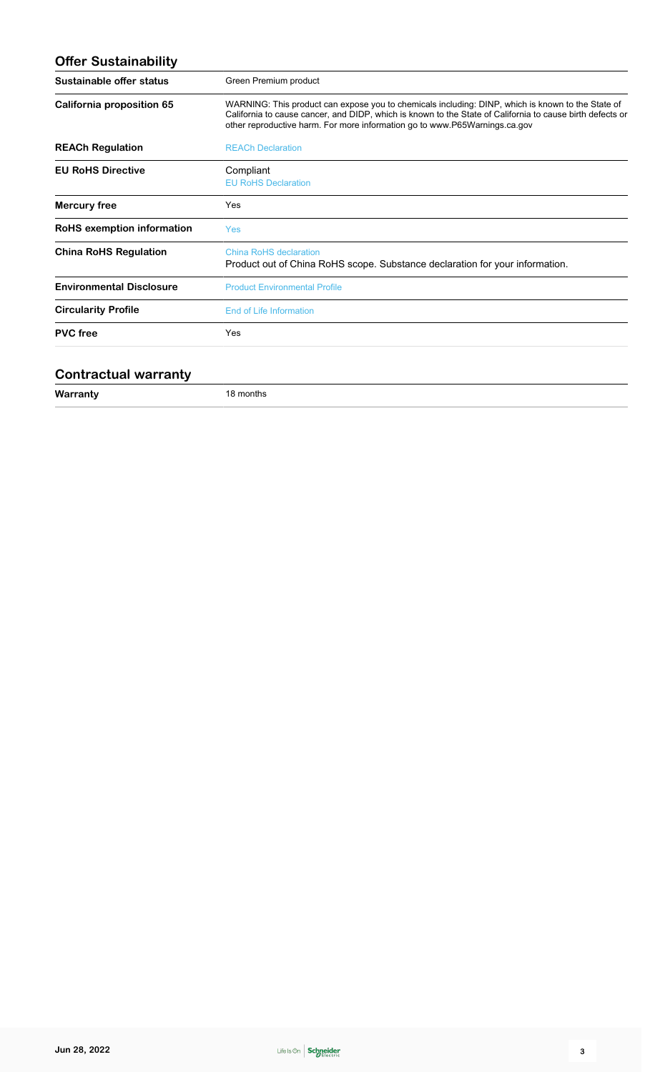| Green Premium product                                                                                                                                                                                                                                                                        |  |  |
|----------------------------------------------------------------------------------------------------------------------------------------------------------------------------------------------------------------------------------------------------------------------------------------------|--|--|
| WARNING: This product can expose you to chemicals including: DINP, which is known to the State of<br>California to cause cancer, and DIDP, which is known to the State of California to cause birth defects or<br>other reproductive harm. For more information go to www.P65Warnings.ca.gov |  |  |
| <b>REACh Declaration</b>                                                                                                                                                                                                                                                                     |  |  |
| Compliant<br><b>EU RoHS Declaration</b>                                                                                                                                                                                                                                                      |  |  |
| Yes                                                                                                                                                                                                                                                                                          |  |  |
| Yes                                                                                                                                                                                                                                                                                          |  |  |
| China RoHS declaration<br>Product out of China RoHS scope. Substance declaration for your information.                                                                                                                                                                                       |  |  |
| <b>Product Environmental Profile</b>                                                                                                                                                                                                                                                         |  |  |
| End of Life Information                                                                                                                                                                                                                                                                      |  |  |
| Yes                                                                                                                                                                                                                                                                                          |  |  |
|                                                                                                                                                                                                                                                                                              |  |  |

#### **Contractual warranty**

| W <sub>2</sub><br>. <b>. .</b><br>and the control of | ภาเทร |  |
|------------------------------------------------------|-------|--|